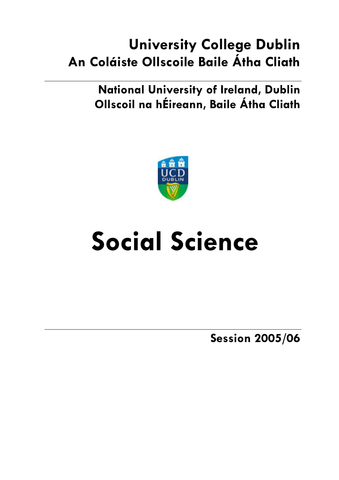## **University College Dublin An Coláiste Ollscoile Baile Átha Cliath**

**National University of Ireland, Dublin Ollscoil na hÉireann, Baile Átha Cliath** 



# **Social Science**

**Session 2005/06**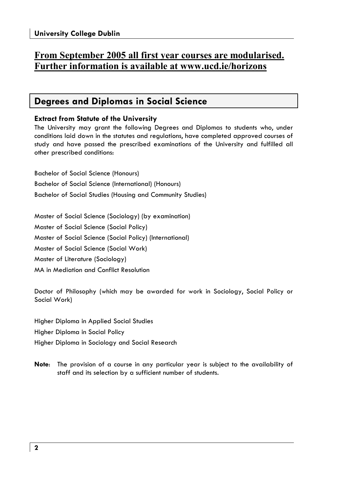## **From September 2005 all first year courses are modularised. Further information is available at www.ucd.ie/horizons**

## **Degrees and Diplomas in Social Science**

## **Extract from Statute of the University**

The University may grant the following Degrees and Diplomas to students who, under conditions laid down in the statutes and regulations, have completed approved courses of study and have passed the prescribed examinations of the University and fulfilled all other prescribed conditions:

Bachelor of Social Science (Honours)

Bachelor of Social Science (International) (Honours)

Bachelor of Social Studies (Housing and Community Studies)

Master of Social Science (Sociology) (by examination) Master of Social Science (Social Policy) Master of Social Science (Social Policy) (International) Master of Social Science (Social Work) Master of Literature (Sociology) MA in Mediation and Conflict Resolution

Doctor of Philosophy (which may be awarded for work in Sociology, Social Policy or Social Work)

Higher Diploma in Applied Social Studies Higher Diploma in Social Policy Higher Diploma in Sociology and Social Research

**Note**: The provision of a course in any particular year is subject to the availability of staff and its selection by a sufficient number of students.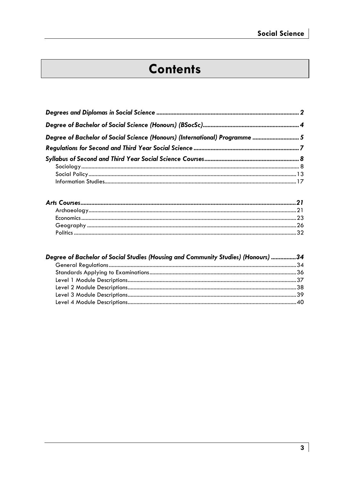## **Contents**

| Degree of Bachelor of Social Science (Honours) (International) Programme  5 |  |
|-----------------------------------------------------------------------------|--|
|                                                                             |  |
|                                                                             |  |
|                                                                             |  |
|                                                                             |  |
|                                                                             |  |

| Degree of Bachelor of Social Studies (Housing and Community Studies) (Honours) 34 |  |
|-----------------------------------------------------------------------------------|--|
|                                                                                   |  |
|                                                                                   |  |
|                                                                                   |  |
|                                                                                   |  |
|                                                                                   |  |
|                                                                                   |  |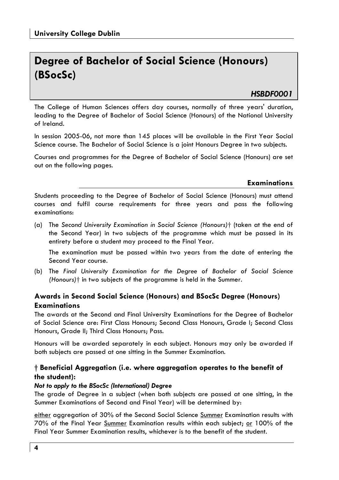## **Degree of Bachelor of Social Science (Honours) (BSocSc)**

## *HSBDF0001*

The College of Human Sciences offers day courses, normally of three years' duration, leading to the Degree of Bachelor of Social Science (Honours) of the National University of Ireland.

In session 2005-06, not more than 145 places will be available in the First Year Social Science course. The Bachelor of Social Science is a joint Honours Degree in two subjects.

Courses and programmes for the Degree of Bachelor of Social Science (Honours) are set out on the following pages.

### **Examinations**

Students proceeding to the Degree of Bachelor of Social Science (Honours) must attend courses and fulfil course requirements for three years and pass the following examinations:

(a) The *Second University Examination in Social Science (Honours)*† (taken at the end of the Second Year) in two subjects of the programme which must be passed in its entirety before a student may proceed to the Final Year.

 The examination must be passed within two years from the date of entering the Second Year course.

(b) The *Final University Examination for the Degree of Bachelor of Social Science (Honours)*† in two subjects of the programme is held in the Summer.

## **Awards in Second Social Science (Honours) and BSocSc Degree (Honours) Examinations**

The awards at the Second and Final University Examinations for the Degree of Bachelor of Social Science are: First Class Honours; Second Class Honours, Grade I; Second Class Honours, Grade II; Third Class Honours; Pass.

Honours will be awarded separately in each subject. Honours may only be awarded if both subjects are passed at one sitting in the Summer Examination.

## **† Beneficial Aggregation (i.e. where aggregation operates to the benefit of the student):**

### *Not to apply to the BSocSc (International) Degree*

The grade of Degree in a subject (when both subjects are passed at one sitting, in the Summer Examinations of Second and Final Year) will be determined by:

either aggregation of 30% of the Second Social Science Summer Examination results with 70% of the Final Year Summer Examination results within each subject; or 100% of the Final Year Summer Examination results, whichever is to the benefit of the student.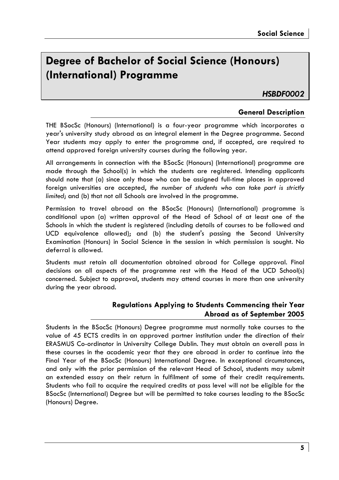## **Degree of Bachelor of Social Science (Honours) (International) Programme**

*HSBDF0002* 

## **General Description**

THE BSocSc (Honours) (International) is a four-year programme which incorporates a year's university study abroad as an integral element in the Degree programme. Second Year students may apply to enter the programme and, if accepted, are required to attend approved foreign university courses during the following year.

All arrangements in connection with the BSocSc (Honours) (International) programme are made through the School(s) in which the students are registered. Intending applicants should note that (a) since only those who can be assigned full-time places in approved foreign universities are accepted, *the number of students who can take part is strictly limited*; and (b) that not all Schools are involved in the programme.

Permission to travel abroad on the BSocSc (Honours) (International) programme is conditional upon (a) written approval of the Head of School of at least one of the Schools in which the student is registered (including details of courses to be followed and UCD equivalence allowed); and (b) the student's passing the Second University Examination (Honours) in Social Science in the session in which permission is sought. No deferral is allowed.

Students must retain all documentation obtained abroad for College approval. Final decisions on all aspects of the programme rest with the Head of the UCD School(s) concerned. Subject to approval, students may attend courses in more than one university during the year abroad.

## **Regulations Applying to Students Commencing their Year Abroad as of September 2005**

Students in the BSocSc (Honours) Degree programme must normally take courses to the value of 45 ECTS credits in an approved partner institution under the direction of their ERASMUS Co-ordinator in University College Dublin. They must obtain an overall pass in these courses in the academic year that they are abroad in order to continue into the Final Year of the BSocSc (Honours) International Degree. In exceptional circumstances, and only with the prior permission of the relevant Head of School, students may submit an extended essay on their return in fulfilment of some of their credit requirements. Students who fail to acquire the required credits at pass level will not be eligible for the BSocSc (International) Degree but will be permitted to take courses leading to the BSocSc (Honours) Degree.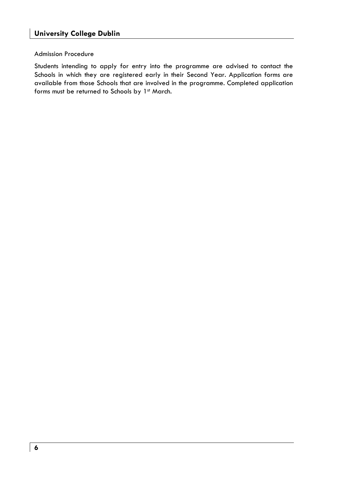### Admission Procedure

Students intending to apply for entry into the programme are advised to contact the Schools in which they are registered early in their Second Year. Application forms are available from those Schools that are involved in the programme. Completed application forms must be returned to Schools by 1st March.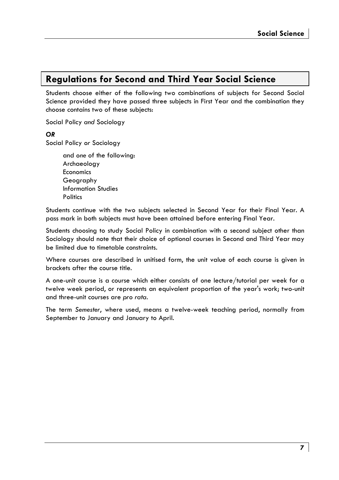## **Regulations for Second and Third Year Social Science**

Students choose either of the following two combinations of subjects for Second Social Science provided they have passed three subjects in First Year and the combination they choose contains two of these subjects:

Social Policy *and* Sociology

### *OR*

Social Policy *or* Sociology

 and *one* of the following: Archaeology Economics Geography Information Studies **Politics** 

Students continue with the two subjects selected in Second Year for their Final Year. A pass mark in both subjects must have been attained before entering Final Year.

Students choosing to study Social Policy in combination with a second subject other than Sociology should note that their choice of optional courses in Second and Third Year may be limited due to timetable constraints.

Where courses are described in unitised form, the unit value of each course is given in brackets after the course title.

A one-unit course is a course which either consists of one lecture/tutorial per week for a twelve week period, or represents an equivalent proportion of the year's work; two-unit and three-unit courses are *pro rata*.

The term *Semester*, where used, means a twelve-week teaching period, normally from September to January and January to April.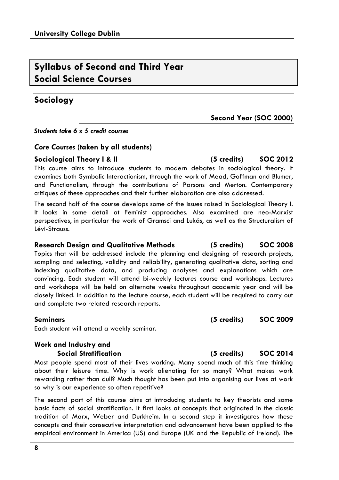## **Syllabus of Second and Third Year Social Science Courses**

## **Sociology**

*Students take 6 x 5 credit courses* 

## *Core Courses* **(taken by all students)**

## **Sociological Theory I & II (5 credits) SOC 2012**

This course aims to introduce students to modern debates in sociological theory. It examines both Symbolic Interactionism, through the work of Mead, Goffman and Blumer, and Functionalism, through the contributions of Parsons and Merton. Contemporary critiques of these approaches and their further elaboration are also addressed.

The second half of the course develops some of the issues raised in Sociological Theory I. It looks in some detail at Feminist approaches. Also examined are neo-Marxist perspectives, in particular the work of Gramsci and Lukás, as well as the Structuralism of Lévi-Strauss.

### **Research Design and Qualitative Methods (5 credits) SOC 2008**

Topics that will be addressed include the planning and designing of research projects, sampling and selecting, validity and reliability, generating qualitative data, sorting and indexing qualitative data, and producing analyses and explanations which are convincing. Each student will attend bi-weekly lectures course and workshops. Lectures and workshops will be held on alternate weeks throughout academic year and will be closely linked. In addition to the lecture course, each student will be required to carry out and complete two related research reports.

## **Seminars (5 credits) SOC 2009**

Each student will attend a weekly seminar.

## **Work and Industry and Social Stratification (5 credits) SOC 2014**

Most people spend most of their lives working. Many spend much of this time thinking about their leisure time. Why is work alienating for so many? What makes work rewarding rather than dull? Much thought has been put into organising our lives at work so why is our experience so often repetitive?

The second part of this course aims at introducing students to key theorists and some basic facts of social stratification. It first looks at concepts that originated in the classic tradition of Marx, Weber and Durkheim. In a second step it investigates how these concepts and their consecutive interpretation and advancement have been applied to the empirical environment in America (US) and Europe (UK and the Republic of Ireland). The

## **Second Year (SOC 2000)**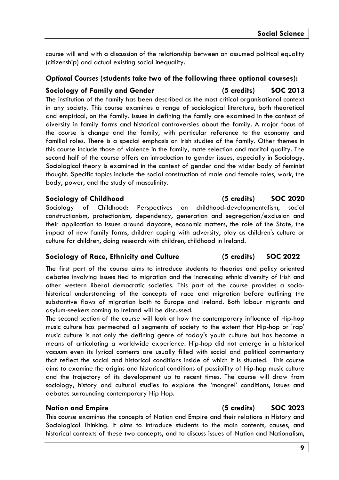course will end with a discussion of the relationship between an assumed political equality (citizenship) and actual existing social inequality.

## *Optional Courses* **(students take two of the following three optional courses):**

## **Sociology of Family and Gender (5 credits) SOC 2013**

The institution of the family has been described as the most critical organisational context in any society. This course examines a range of sociological literature, both theoretical and empirical, on the family. Issues in defining the family are examined in the context of diversity in family forms and historical controversies about the family. A major focus of the course is change and the family, with particular reference to the economy and familial roles. There is a special emphasis on Irish studies of the family. Other themes in this course include those of violence in the family, mate selection and marital quality. The second half of the course offers an introduction to gender issues, especially in Sociology. Sociological theory is examined in the context of gender and the wider body of feminist thought. Specific topics include the social construction of male and female roles, work, the body, power, and the study of masculinity.

Sociology of Childhood: Perspectives on childhood-developmentalism, social constructionism, protectionism, dependency, generation and segregation/exclusion and their application to issues around daycare, economic matters, the role of the State, the impact of new family forms, children coping with adversity, play as children's culture or culture for children, doing research with children, childhood in Ireland.

## **Sociology of Race, Ethnicity and Culture (5 credits) SOC 2022**

The first part of the course aims to introduce students to theories and policy oriented debates involving issues tied to migration and the increasing ethnic diversity of Irish and other western liberal democratic societies. This part of the course provides a sociohistorical understanding of the concepts of race and migration before outlining the substantive flows of migration both to Europe and Ireland. Both labour migrants and asylum-seekers coming to Ireland will be discussed.

The second section of the course will look at how the contemporary influence of Hip-hop music culture has permeated all segments of society to the extent that Hip-hop or 'rap' music culture is not only the defining genre of today's youth culture but has become a means of articulating a worldwide experience. Hip-hop did not emerge in a historical vacuum even its lyrical contents are usually filled with social and political commentary that reflect the social and historical conditions inside of which it is situated. This course aims to examine the origins and historical conditions of possibility of Hip-hop music culture and the trajectory of its development up to recent times. The course will draw from sociology, history and cultural studies to explore the 'mongrel' conditions, issues and debates surrounding contemporary Hip Hop.

This course examines the concepts of Nation and Empire and their relations in History and Sociological Thinking. It aims to introduce students to the main contents, causes, and historical contexts of these two concepts, and to discuss issues of Nation and Nationalism,

## **Sociology of Childhood (5 credits) SOC 2020**

## **Nation and Empire (5 credits) SOC 2023**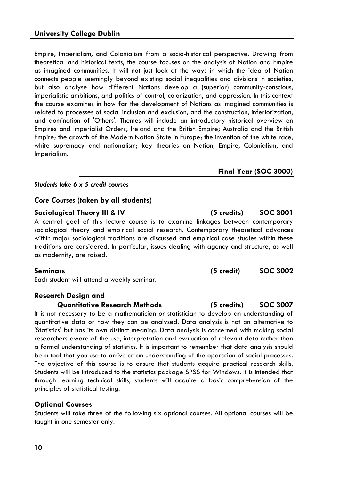Empire, Imperialism, and Colonialism from a socio-historical perspective. Drawing from theoretical and historical texts, the course focuses on the analysis of Nation and Empire as imagined communities. It will not just look at the ways in which the idea of Nation connects people seemingly beyond existing social inequalities and divisions in societies, but also analyse how different Nations develop a (superior) community-conscious, imperialistic ambitions, and politics of control, colonization, and oppression. In this context the course examines in how far the development of Nations as imagined communities is related to processes of social inclusion and exclusion, and the construction, inferiorization, and domination of 'Others'. Themes will include an introductory historical overview on Empires and Imperialist Orders; Ireland and the British Empire; Australia and the British Empire; the growth of the Modern Nation State in Europe; the invention of the white race, white supremacy and nationalism; key theories on Nation, Empire, Colonialism, and Imperialism.

### *Students take 6 x 5 credit courses*

## *Core Courses* **(taken by all students)**

## **Sociological Theory III & IV (5 credits) SOC 3001**

A central goal of this lecture course is to examine linkages between contemporary sociological theory and empirical social research. Contemporary theoretical advances within major sociological traditions are discussed and empirical case studies within these traditions are considered. In particular, issues dealing with agency and structure, as well as modernity, are raised.

Each student will attend a weekly seminar.

## **Research Design and**

### **Quantitative Research Methods (5 credits) SOC 3007**

It is not necessary to be a mathematician or statistician to develop an understanding of quantitative data or how they can be analysed. Data analysis is not an alternative to 'Statistics' but has its own distinct meaning. Data analysis is concerned with making social researchers aware of the use, interpretation and evaluation of relevant data rather than a formal understanding of statistics. It is important to remember that data analysis should be a tool that you use to arrive at an understanding of the operation of social processes. The objective of this course is to ensure that students acquire practical research skills. Students will be introduced to the statistics package SPSS for Windows. It is intended that through learning technical skills, students will acquire a basic comprehension of the principles of statistical testing.

## **Optional Courses**

Students will take three of the following six optional courses. All optional courses will be taught in one semester only.

**Final Year (SOC 3000)** 

## **Seminars (5 credit) SOC 3002**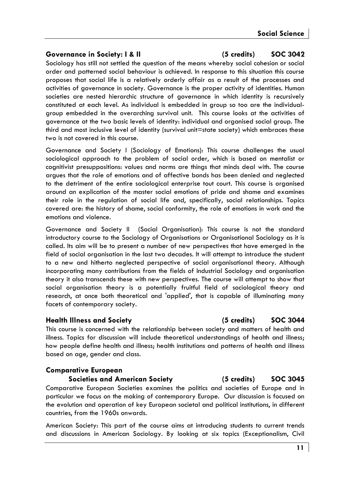### **Governance in Society: I & II (5 credits) SOC 3042**

Sociology has still not settled the question of the means whereby social cohesion or social order and patterned social behaviour is achieved. In response to this situation this course proposes that social life is a relatively orderly affair as a result of the processes and activities of governance in society. Governance is the proper activity of identities. Human societies are nested hierarchic structure of governance in which identity is recursively constituted at each level. As individual is embedded in group so too are the individualgroup embedded in the overarching survival unit. This course looks at the activities of governance at the two basic levels of identity: individual and organised social group. The third and most inclusive level of identity (survival unit=state society) which embraces these two is not covered in this course.

Governance and Society I (Sociology of Emotions): This course challenges the usual sociological approach to the problem of social order, which is based on mentalist or cognitivist presuppositions: values and norms are things that minds deal with. The course argues that the role of emotions and of affective bonds has been denied and neglected to the detriment of the entire sociological enterprise tout court. This course is organised around an explication of the master social emotions of pride and shame and examines their role in the regulation of social life and, specifically, social relationships. Topics covered are: the history of shame, social conformity, the role of emotions in work and the emotions and violence.

Governance and Society II (Social Organisation): This course is not the standard introductory course to the Sociology of Organisations or Organisational Sociology as it is called. Its aim will be to present a number of new perspectives that have emerged in the field of social organisation in the last two decades. It will attempt to introduce the student to a new and hitherto neglected perspective of social organisational theory. Although incorporating many contributions from the fields of Industrial Sociology and organisation theory it also transcends these with new perspectives. The course will attempt to show that social organisation theory is a potentially fruitful field of sociological theory and research, at once both theoretical and 'applied', that is capable of illuminating many facets of contemporary society.

### **Health Illness and Society (5 credits) SOC 3044**

This course is concerned with the relationship between society and matters of health and illness. Topics for discussion will include theoretical understandings of health and illness; how people define health and illness; health institutions and patterns of health and illness based on age, gender and class.

### **Comparative European**

### **Societies and American Society (5 credits) SOC 3045**

Comparative European Societies examines the politics and societies of Europe and in particular we focus on the making of contemporary Europe. Our discussion is focused on the evolution and operation of key European societal and political institutions, in different countries, from the 1960s onwards.

American Society: This part of the course aims at introducing students to current trends and discussions in American Sociology. By looking at six topics (Exceptionalism, Civil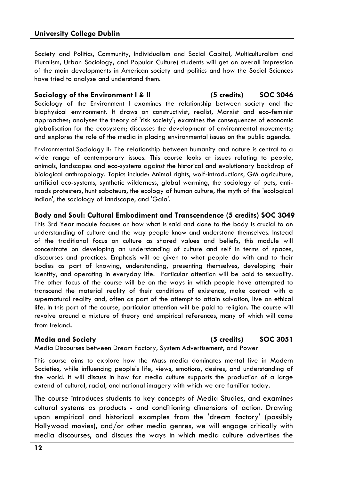## **University College Dublin**

Society and Politics, Community, Individualism and Social Capital, Multiculturalism and Pluralism, Urban Sociology, and Popular Culture) students will get an overall impression of the main developments in American society and politics and how the Social Sciences have tried to analyse and understand them.

### **Sociology of the Environment I & II (5 credits) SOC 3046**  Sociology of the Environment I examines the relationship between society and the

biophysical environment. It draws on constructivist, realist, Marxist and eco-feminist approaches; analyses the theory of 'risk society'; examines the consequences of economic globalisation for the ecosystem; discusses the development of environmental movements; and explores the role of the media in placing environmental issues on the public agenda.

Environmental Sociology II: The relationship between humanity and nature is central to a wide range of contemporary issues. This course looks at issues relating to people, animals, landscapes and eco-systems against the historical and evolutionary backdrop of biological anthropology. Topics include: Animal rights, wolf-introductions, GM agriculture, artificial eco-systems, synthetic wilderness, global warming, the sociology of pets, antiroads protesters, hunt saboteurs, the ecology of human culture, the myth of the 'ecological Indian', the sociology of landscape, and 'Gaia'.

### **Body and Soul: Cultural Embodiment and Transcendence (5 credits) SOC 3049**

This 3rd Year module focuses on how what is said and done to the body is crucial to an understanding of culture and the way people know and understand themselves. Instead of the traditional focus on culture as shared values and beliefs, this module will concentrate on developing an understanding of culture and self in terms of spaces, discourses and practices. Emphasis will be given to what people do with and to their bodies as part of knowing, understanding, presenting themselves, developing their identity, and operating in everyday life. Particular attention will be paid to sexuality. The other focus of the course will be on the ways in which people have attempted to transcend the material reality of their conditions of existence, make contact with a supernatural reality and, often as part of the attempt to attain salvation, live an ethical life. In this part of the course, particular attention will be paid to religion. The course will revolve around a mixture of theory and empirical references, many of which will come from Ireland.

## **Media and Society (5 credits) SOC 3051**

Media Discourses between Dream Factory, System Advertisement, and Power

This course aims to explore how the Mass media dominates mental live in Modern Societies, while influencing people's life, views, emotions, desires, and understanding of the world. It will discuss in how far media culture supports the production of a large extend of cultural, racial, and national imagery with which we are familiar today.

The course introduces students to key concepts of Media Studies, and examines cultural systems as products - and conditioning dimensions of action. Drawing upon empirical and historical examples from the 'dream factory' (possibly Hollywood movies), and/or other media genres, we will engage critically with media discourses, and discuss the ways in which media culture advertises the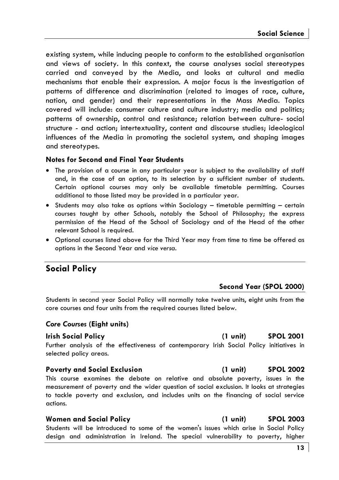existing system, while inducing people to conform to the established organisation and views of society. In this context, the course analyses social stereotypes carried and conveyed by the Media, and looks at cultural and media mechanisms that enable their expression. A major focus is the investigation of patterns of difference and discrimination (related to images of race, culture, nation, and gender) and their representations in the Mass Media. Topics covered will include: consumer culture and culture industry; media and politics; patterns of ownership, control and resistance; relation between culture- social structure - and action; intertextuality, content and discourse studies; ideological influences of the Media in promoting the societal system, and shaping images and stereotypes.

## **Notes for Second and Final Year Students**

- The provision of a course in any particular year is subject to the availability of staff and, in the case of an option, to its selection by a sufficient number of students. Certain optional courses may only be available timetable permitting. Courses additional to those listed may be provided in a particular year.
- Students may also take as options within Sociology timetable permitting certain courses taught by other Schools, notably the School of Philosophy; the express permission of the Head of the School of Sociology and of the Head of the other relevant School is required.
- Optional courses listed above for the Third Year may from time to time be offered as options in the Second Year and *vice versa.*

## **Social Policy**

## **Second Year (SPOL 2000)**

Students in second year Social Policy will normally take twelve units, eight units from the core courses and four units from the required courses listed below.

## *Core Courses* **(Eight units)**

### **Irish Social Policy (1 unit) SPOL 2001**

Further analysis of the effectiveness of contemporary Irish Social Policy initiatives in selected policy areas.

### **Poverty and Social Exclusion (1 unit) SPOL 2002**

This course examines the debate on relative and absolute poverty, issues in the measurement of poverty and the wider question of social exclusion. It looks at strategies to tackle poverty and exclusion, and includes units on the financing of social service actions.

### **Women and Social Policy (1 unit) SPOL 2003**

Students will be introduced to some of the women's issues which arise in Social Policy design and administration in Ireland. The special vulnerability to poverty, higher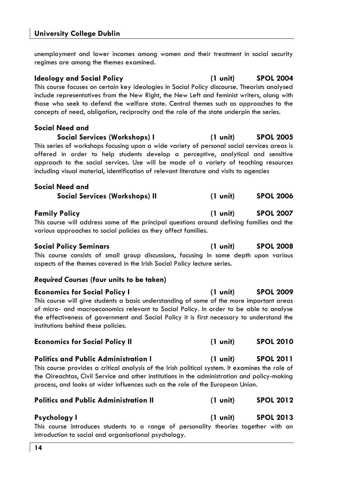**University College Dublin**

unemployment and lower incomes among women and their treatment in social security regimes are among the themes examined.

**Ideology and Social Policy (1 unit) SPOL 2004**  This course focuses on certain key ideologies in Social Policy discourse. Theorists analysed include representatives from the New Right, the New Left and feminist writers, along with those who seek to defend the welfare state. Central themes such as approaches to the concepts of need, obligation, reciprocity and the role of the state underpin the series.

**Social Need and** 

**Social Services (Workshops) I (1 unit) SPOL 2005**  This series of workshops focusing upon a wide variety of personal social services areas is

offered in order to help students develop a perceptive, analytical and sensitive approach to the social services. Use will be made of a variety of teaching resources including visual material, identification of relevant literature and visits to agencies

| Social Need and                |          |                  |
|--------------------------------|----------|------------------|
| Social Services (Workshops) II | (1 unit) | <b>SPOL 2006</b> |

**Family Policy (1 unit) SPOL 2007** 

This course will address some of the principal questions around defining families and the various approaches to social policies as they affect families.

### **Social Policy Seminars (1 unit) SPOL 2008**

This course consists of small group discussions, focusing in some depth upon various aspects of the themes covered in the Irish Social Policy lecture series.

### *Required Courses* **(four units to be taken)**

| <b>Economics for Social Policy I</b>                                                                                                                                                                                                                                            | (1 unit) | <b>SPOL 2009</b> |
|---------------------------------------------------------------------------------------------------------------------------------------------------------------------------------------------------------------------------------------------------------------------------------|----------|------------------|
| This course will give students a basic understanding of some of the more important areas<br>of micro- and macroeconomics relevant to Social Policy. In order to be able to analyse<br>the effectiveness of government and Social Policy it is first necessary to understand the |          |                  |
| institutions behind these policies.                                                                                                                                                                                                                                             |          |                  |
| <b>Economics for Social Policy II</b>                                                                                                                                                                                                                                           | (1 unit) | <b>SPOL 2010</b> |

## **Politics and Public Administration I (1 unit) SPOL 2011**

This course provides a critical analysis of the Irish political system. It examines the role of the Oireachtas, Civil Service and other institutions in the administration and policy-making process, and looks at wider influences such as the role of the European Union.

**Psychology I (1 unit) SPOL 2013** 

This course introduces students to a range of personality theories together with an introduction to social and organisational psychology.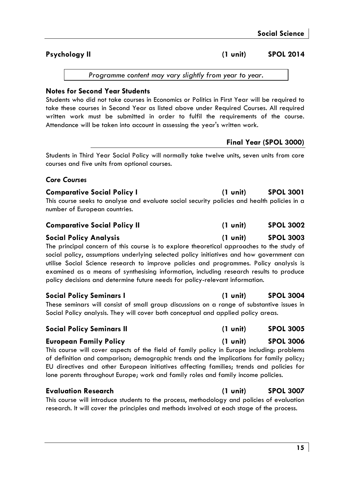## Psychology II **and Contact Contact Contact Contact Contact Contact Contact Contact Contact Contact Contact Contact Contact Contact Contact Contact Contact Contact Contact Contact Contact Contact Contact Contact Contact Con**

*Programme content may vary slightly from year to year.* 

## **Notes for Second Year Students**

Students who did not take courses in Economics or Politics in First Year will be required to take these courses in Second Year as listed above under Required Courses. All required written work must be submitted in order to fulfil the requirements of the course. Attendance will be taken into account in assessing the year's written work.

## **Final Year (SPOL 3000)**

Students in Third Year Social Policy will normally take twelve units, seven units from core courses and five units from optional courses.

## *Core Courses*

| <b>Comparative Social Policy I</b>                                                          | $(1 \text{ unit})$ | <b>SPOL 3001</b> |
|---------------------------------------------------------------------------------------------|--------------------|------------------|
| This course seeks to analyse and evaluate social security policies and health policies in a |                    |                  |
| number of European countries.                                                               |                    |                  |

| <b>Comparative Social Policy II</b> | $(1 \text{ unit})$ | <b>SPOL 3002</b> |
|-------------------------------------|--------------------|------------------|
|-------------------------------------|--------------------|------------------|

### **Social Policy Analysis (1 unit) SPOL 3003**

The principal concern of this course is to explore theoretical approaches to the study of social policy, assumptions underlying selected policy initiatives and how government can utilise Social Science research to improve policies and programmes. Policy analysis is examined as a means of synthesising information, including research results to produce policy decisions and determine future needs for policy-relevant information.

### **Social Policy Seminars I (1 unit) SPOL 3004**

These seminars will consist of small group discussions on a range of substantive issues in Social Policy analysis. They will cover both conceptual and applied policy areas.

### **Social Policy Seminars II (1 unit) SPOL 3005**

## **European Family Policy (1 unit) SPOL 3006**

This course will cover aspects of the field of family policy in Europe including: problems of definition and comparison; demographic trends and the implications for family policy; EU directives and other European initiatives affecting families; trends and policies for lone parents throughout Europe; work and family roles and family income policies.

## **Evaluation Research (1 unit) SPOL 3007**

This course will introduce students to the process, methodology and policies of evaluation research. It will cover the principles and methods involved at each stage of the process.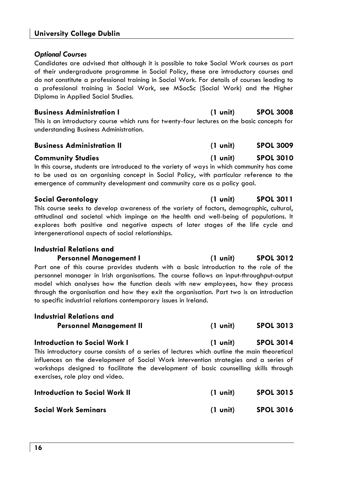### *Optional Courses*

Candidates are advised that although it is possible to take Social Work courses as part of their undergraduate programme in Social Policy, these are introductory courses and do not constitute a professional training in Social Work. For details of courses leading to a professional training in Social Work, see MSocSc (Social Work) and the Higher Diploma in Applied Social Studies.

| <b>Business Administration I</b>                                                             | (1 unit) | <b>SPOL 3008</b> |
|----------------------------------------------------------------------------------------------|----------|------------------|
| This is an introductory course which runs for twenty-four lectures on the basic concepts for |          |                  |
| understanding Business Administration.                                                       |          |                  |

| <b>Business Administration II</b> | $(1 \text{ unit})$ | <b>SPOL 3009</b> |
|-----------------------------------|--------------------|------------------|
|-----------------------------------|--------------------|------------------|

### **Community Studies (1 unit) SPOL 3010**

In this course, students are introduced to the variety of ways in which community has come to be used as an organising concept in Social Policy, with particular reference to the emergence of community development and community care as a policy goal.

### **Social Gerontology (1 unit) SPOL 3011**

This course seeks to develop awareness of the variety of factors, demographic, cultural, attitudinal and societal which impinge on the health and well-being of populations. It explores both positive and negative aspects of later stages of the life cycle and intergenerational aspects of social relationships.

### **Industrial Relations and**

Personnel Management I (1 unit) SPOL 3012 Part one of this course provides students with a basic introduction to the role of the personnel manager in Irish organisations. The course follows an input-throughput-output model which analyses how the function deals with new employees, how they process through the organisation and how they exit the organisation. Part two is an introduction to specific industrial relations contemporary issues in Ireland.

| Industrial Relations and                                                                     |                    |                  |
|----------------------------------------------------------------------------------------------|--------------------|------------------|
| <b>Personnel Management II</b>                                                               | $(1 \text{ unit})$ | <b>SPOL 3013</b> |
| <b>Introduction to Social Work I</b>                                                         | (1 unit)           | <b>SPOL 3014</b> |
| This introductory course consists of a series of lectures which outline the main theoretical |                    |                  |
| influences on the development of Social Work intervention strategies and a series of         |                    |                  |
| workshops designed to facilitate the development of basic counselling skills through         |                    |                  |
| exercises, role play and video.                                                              |                    |                  |

| <b>Introduction to Social Work II</b> | $(1 \text{ unit})$ | <b>SPOL 3015</b> |
|---------------------------------------|--------------------|------------------|
| Social Work Seminars                  | $(1 \text{ unit})$ | <b>SPOL 3016</b> |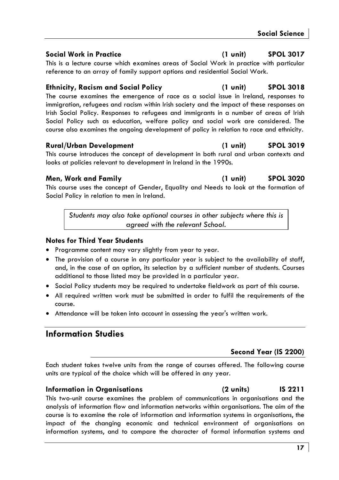### **Social Work in Practice (1 unit) SPOL 3017**

This is a lecture course which examines areas of Social Work in practice with particular reference to an array of family support options and residential Social Work.

## **Ethnicity, Racism and Social Policy (1 unit) SPOL 3018**

The course examines the emergence of race as a social issue in Ireland, responses to immigration, refugees and racism within Irish society and the impact of these responses on Irish Social Policy. Responses to refugees and immigrants in a number of areas of Irish Social Policy such as education, welfare policy and social work are considered. The course also examines the ongoing development of policy in relation to race and ethnicity.

## **Rural/Urban Development (1 unit) SPOL 3019**

This course introduces the concept of development in both rural and urban contexts and looks at policies relevant to development in Ireland in the 1990s.

This course uses the concept of Gender, Equality and Needs to look at the formation of Social Policy in relation to men in Ireland.

*Students may also take optional courses in other subjects where this is agreed with the relevant School.* 

## **Notes for Third Year Students**

- Programme content may vary slightly from year to year.
- The provision of a course in any particular year is subject to the availability of staff, and, in the case of an option, its selection by a sufficient number of students. Courses additional to those listed may be provided in a particular year.
- Social Policy students may be required to undertake fieldwork as part of this course.
- All required written work must be submitted in order to fulfil the requirements of the course.
- Attendance will be taken into account in assessing the year's written work.

## **Information Studies**

## **Second Year (IS 2200)**

Each student takes twelve units from the range of courses offered. The following course units are typical of the choice which will be offered in any year.

## **Information in Organisations (2 units) IS 2211**

### This two-unit course examines the problem of communications in organisations and the analysis of information flow and information networks within organisations. The aim of the course is to examine the role of information and information systems in organisations, the impact of the changing economic and technical environment of organisations on information systems, and to compare the character of formal information systems and

## **Men, Work and Family (1 unit) SPOL 3020**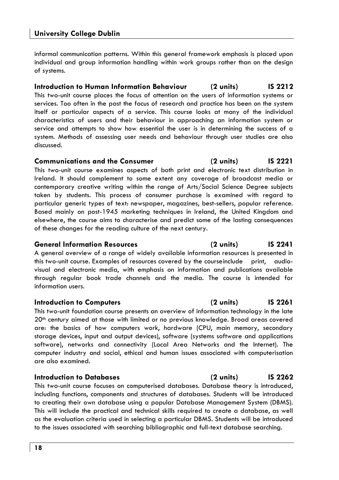informal communication patterns. Within this general framework emphasis is placed upon individual and group information handling within work groups rather than on the design of systems.

## **Introduction to Human Information Behaviour (2 units) IS 2212**

This two-unit course places the focus of attention on the users of information systems or services. Too often in the past the focus of research and practice has been on the system itself or particular aspects of a service. This course looks at many of the individual characteristics of users and their behaviour in approaching an information system or service and attempts to show how essential the user is in determining the success of a system. Methods of assessing user needs and behaviour through user studies are also discussed.

### **Communications and the Consumer (2 units) IS 2221**

This two-unit course examines aspects of both print and electronic text distribution in Ireland. It should complement to some extent any coverage of broadcast media or contemporary creative writing within the range of Arts/Social Science Degree subjects taken by students. This process of consumer purchase is examined with regard to particular generic types of text: newspaper, magazines, best-sellers, popular reference. Based mainly on post-1945 marketing techniques in Ireland, the United Kingdom and elsewhere, the course aims to characterise and predict some of the lasting consequences of these changes for the reading culture of the next century.

## **General Information Resources (2 units) IS 2241**

A general overview of a range of widely available information resources is presented in this two-unit course. Examples of resources covered by the course include print, audiovisual and electronic media, with emphasis on information and publications available through regular book trade channels and the media. The course is intended for information users.

### **Introduction to Computers (2 units) IS 2261**

This two-unit foundation course presents an overview of information technology in the late 20<sup>th</sup> century aimed at those with limited or no previous knowledge. Broad areas covered are: the basics of how computers work, hardware (CPU, main memory, secondary storage devices, input and output devices), software (systems software and applications software), networks and connectivity (Local Area Networks and the Internet). The computer industry and social, ethical and human issues associated with computerisation are also examined.

### **Introduction to Databases (2 units) IS 2262**

This two-unit course focuses on computerised databases. Database theory is introduced, including functions, components and structures of databases. Students will be introduced to creating their own database using a popular Database Management System (DBMS). This will include the practical and technical skills required to create a database, as well as the evaluation criteria used in selecting a particular DBMS. Students will be introduced to the issues associated with searching bibliographic and full-text database searching.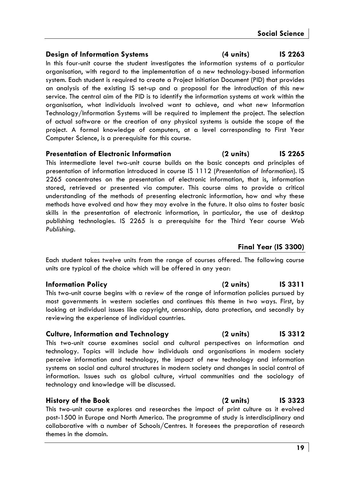## **Design of Information Systems (4 units) IS 2263**

In this four-unit course the student investigates the information systems of a particular organisation, with regard to the implementation of a new technology-based information system. Each student is required to create a Project Initiation Document (PID) that provides an analysis of the existing IS set-up and a proposal for the introduction of this new service. The central aim of the PID is to identify the information systems at work within the organisation, what individuals involved want to achieve, and what new Information Technology/Information Systems will be required to implement the project. The selection of actual software or the creation of any physical systems is outside the scope of the project. A formal knowledge of computers, at a level corresponding to First Year Computer Science, is a prerequisite for this course.

## **Presentation of Electronic Information (2 units) IS 2265**

This intermediate level two-unit course builds on the basic concepts and principles of presentation of information introduced in course IS 1112 (*Presentation of Information*). IS 2265 concentrates on the presentation of electronic information, that is, information stored, retrieved or presented via computer. This course aims to provide a critical understanding of the methods of presenting electronic information, how and why these methods have evolved and how they may evolve in the future. It also aims to foster basic skills in the presentation of electronic information, in particular, the use of desktop publishing technologies. IS 2265 is a prerequisite for the Third Year course *Web Publishing.*

## **Final Year (IS 3300)**

Each student takes twelve units from the range of courses offered. The following course units are typical of the choice which will be offered in any year:

## **Information Policy (2 units) IS 3311**

This two-unit course begins with a review of the range of information policies pursued by most governments in western societies and continues this theme in two ways. First, by looking at individual issues like copyright, censorship, data protection, and secondly by reviewing the experience of individual countries.

## **Culture, Information and Technology (2 units) IS 3312**

This two-unit course examines social and cultural perspectives on information and technology. Topics will include how individuals and organisations in modern society perceive information and technology, the impact of new technology and information systems on social and cultural structures in modern society and changes in social control of information. Issues such as global culture, virtual communities and the sociology of technology and knowledge will be discussed.

## **History of the Book (2 units) IS 3323**

This two-unit course explores and researches the impact of print culture as it evolved post-1500 in Europe and North America. The programme of study is interdisciplinary and collaborative with a number of Schools/Centres. It foresees the preparation of research themes in the domain.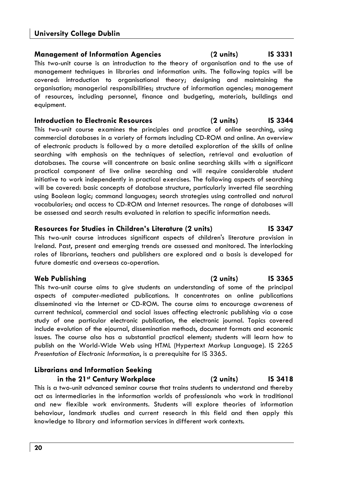## **Management of Information Agencies (2 units) IS 3331**

This two-unit course is an introduction to the theory of organisation and to the use of management techniques in libraries and information units. The following topics will be covered: introduction to organisational theory; designing and maintaining the organisation; managerial responsibilities; structure of information agencies; management of resources, including personnel, finance and budgeting, materials, buildings and equipment.

## **Introduction to Electronic Resources (2 units) IS 3344**

This two-unit course examines the principles and practice of online searching, using commercial databases in a variety of formats including CD-ROM and online. An overview of electronic products is followed by a more detailed exploration of the skills of online searching with emphasis on the techniques of selection, retrieval and evaluation of databases. The course will concentrate on basic online searching skills with a significant practical component of live online searching and will require considerable student initiative to work independently in practical exercises. The following aspects of searching will be covered: basic concepts of database structure, particularly inverted file searching using Boolean logic; command languages; search strategies using controlled and natural vocabularies; and access to CD-ROM and Internet resources. The range of databases will be assessed and search results evaluated in relation to specific information needs.

## **Resources for Studies in Children's Literature (2 units) IS 3347**

This two-unit course introduces significant aspects of children's literature provision in Ireland. Past, present and emerging trends are assessed and monitored. The interlocking roles of librarians, teachers and publishers are explored and a basis is developed for future domestic and overseas co-operation.

## **Web Publishing (2 units) IS 3365**

This two-unit course aims to give students an understanding of some of the principal aspects of computer-mediated publications. It concentrates on online publications disseminated via the Internet or CD-ROM. The course aims to encourage awareness of current technical, commercial and social issues affecting electronic publishing via a case study of one particular electronic publication, the electronic journal. Topics covered include evolution of the ejournal, dissemination methods, document formats and economic issues. The course also has a substantial practical element; students will learn how to publish on the World-Wide Web using HTML (Hypertext Markup Language). IS 2265 *Presentation of Electronic Information*, is a prerequisite for IS 3365.

## **Librarians and Information Seeking**

**in the 21st Century Workplace (2 units) IS 3418** 

This is a two-unit advanced seminar course that trains students to understand and thereby act as intermediaries in the information worlds of professionals who work in traditional and new flexible work environments. Students will explore theories of information behaviour, landmark studies and current research in this field and then apply this knowledge to library and information services in different work contexts.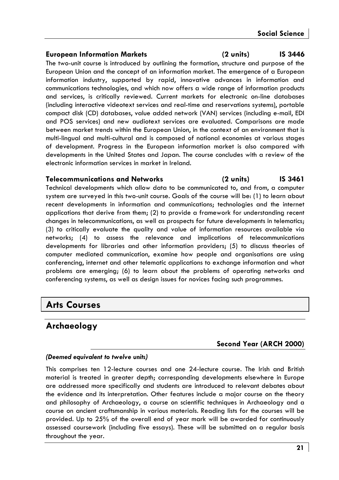### **European Information Markets (2 units) IS 3446**

The two-unit course is introduced by outlining the formation, structure and purpose of the European Union and the concept of an information market. The emergence of a European information industry, supported by rapid, innovative advances in information and communications technologies, and which now offers a wide range of information products and services, is critically reviewed. Current markets for electronic on-line databases (including interactive videotext services and real-time and reservations systems), portable compact disk (CD) databases, value added network (VAN) services (including e-mail, EDI and POS services) and new audiotext services are evaluated. Comparisons are made between market trends within the European Union, in the context of an environment that is multi-lingual and multi-cultural and is composed of national economies at various stages of development. Progress in the European information market is also compared with developments in the United States and Japan. The course concludes with a review of the electronic information services in market in Ireland.

### **Telecommunications and Networks (2 units) IS 3461**

Technical developments which allow data to be communicated to, and from, a computer system are surveyed in this two-unit course. Goals of the course will be: (1) to learn about recent developments in information and communications; technologies and the internet applications that derive from them; (2) to provide a framework for understanding recent changes in telecommunications, as well as prospects for future developments in telematics; (3) to critically evaluate the quality and value of information resources available via networks; (4) to assess the relevance and implications of telecommunications developments for libraries and other information providers; (5) to discuss theories of computer mediated communication, examine how people and organisations are using conferencing, internet and other telematic applications to exchange information and what problems are emerging; (6) to learn about the problems of operating networks and conferencing systems, as well as design issues for novices facing such programmes.

## **Arts Courses**

## **Archaeology**

## **Second Year (ARCH 2000)**

### *(Deemed equivalent to twelve units)*

This comprises ten 12-lecture courses and one 24-lecture course. The Irish and British material is treated in greater depth; corresponding developments elsewhere in Europe are addressed more specifically and students are introduced to relevant debates about the evidence and its interpretation. Other features include a major course on the theory and philosophy of Archaeology, a course on scientific techniques in Archaeology and a course on ancient craftsmanship in various materials. Reading lists for the courses will be provided. Up to 25% of the overall end of year mark will be awarded for continuously assessed coursework (including five essays). These will be submitted on a regular basis throughout the year.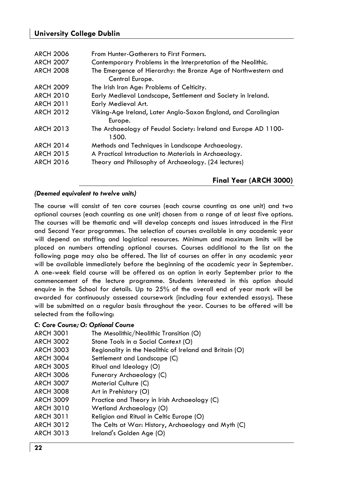## **University College Dublin**

| <b>ARCH 2006</b> | From Hunter-Gatherers to First Farmers.                        |
|------------------|----------------------------------------------------------------|
| <b>ARCH 2007</b> | Contemporary Problems in the Interpretation of the Neolithic.  |
| <b>ARCH 2008</b> | The Emergence of Hierarchy: the Bronze Age of Northwestern and |
|                  | Central Europe.                                                |
| <b>ARCH 2009</b> | The Irish Iron Age: Problems of Celticity.                     |
| <b>ARCH 2010</b> | Early Medieval Landscape, Settlement and Society in Ireland.   |
| <b>ARCH 2011</b> | Early Medieval Art.                                            |
| <b>ARCH 2012</b> | Viking-Age Ireland, Later Anglo-Saxon England, and Carolingian |
|                  | Europe.                                                        |
| <b>ARCH 2013</b> | The Archaeology of Feudal Society: Ireland and Europe AD 1100- |
|                  | 1500.                                                          |
| <b>ARCH 2014</b> | Methods and Techniques in Landscape Archaeology.               |
| <b>ARCH 2015</b> | A Practical Introduction to Materials in Archaeology.          |
| <b>ARCH 2016</b> | Theory and Philosophy of Archaeology. (24 lectures)            |
|                  |                                                                |
|                  |                                                                |

## *(Deemed equivalent to twelve units)*

The course will consist of ten core courses (each course counting as one unit) and two optional courses (each counting as one unit) chosen from a range of at least five options. The courses will be thematic and will develop concepts and issues introduced in the First and Second Year programmes. The selection of courses available in any academic year will depend on staffing and logistical resources. Minimum and maximum limits will be placed on numbers attending optional courses. Courses additional to the list on the following page may also be offered. The list of courses on offer in any academic year will be available immediately before the beginning of the academic year in September. A one-week field course will be offered as an option in early September prior to the commencement of the lecture programme. Students interested in this option should enquire in the School for details. Up to 25% of the overall end of year mark will be awarded for continuously assessed coursework (including four extended essays). These will be submitted on a regular basis throughout the year. Courses to be offered will be selected from the following:

**Final Year (ARCH 3000)** 

### *C: Core Course; O: Optional Course*

| <b>ARCH 3001</b> | The Mesolithic/Neolithic Transition (O)                 |
|------------------|---------------------------------------------------------|
| <b>ARCH 3002</b> | Stone Tools in a Social Context (O)                     |
| <b>ARCH 3003</b> | Regionality in the Neolithic of Ireland and Britain (O) |
| <b>ARCH 3004</b> | Settlement and Landscape (C)                            |
| <b>ARCH 3005</b> | Ritual and Ideology (O)                                 |
| <b>ARCH 3006</b> | Funerary Archaeology (C)                                |
| <b>ARCH 3007</b> | Material Culture (C)                                    |
| <b>ARCH 3008</b> | Art in Prehistory (O)                                   |
| <b>ARCH 3009</b> | Practice and Theory in Irish Archaeology (C)            |
| <b>ARCH 3010</b> | Wetland Archaeology (O)                                 |
| <b>ARCH 3011</b> | Religion and Ritual in Celtic Europe (O)                |
| <b>ARCH 3012</b> | The Celts at War: History, Archaeology and Myth (C)     |
| ARCH 3013        | Ireland's Golden Age (O)                                |
|                  |                                                         |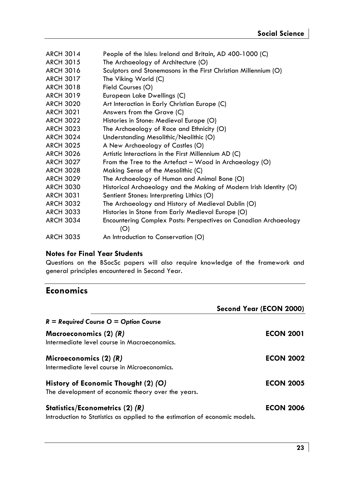| <b>ARCH 3014</b> | People of the Isles: Ireland and Britain, AD 400-1000 (C)          |
|------------------|--------------------------------------------------------------------|
| <b>ARCH 3015</b> | The Archaeology of Architecture (O)                                |
| <b>ARCH 3016</b> | Sculptors and Stonemasons in the First Christian Millennium (O)    |
| <b>ARCH 3017</b> | The Viking World (C)                                               |
| <b>ARCH 3018</b> | Field Courses (O)                                                  |
| <b>ARCH 3019</b> | European Lake Dwellings (C)                                        |
| <b>ARCH 3020</b> | Art Interaction in Early Christian Europe (C)                      |
| <b>ARCH 3021</b> | Answers from the Grave (C)                                         |
| <b>ARCH 3022</b> | Histories in Stone: Medieval Europe (O)                            |
| <b>ARCH 3023</b> | The Archaeology of Race and Ethnicity (O)                          |
| <b>ARCH 3024</b> | Understanding Mesolithic/Neolithic (O)                             |
| <b>ARCH 3025</b> | A New Archaeology of Castles (O)                                   |
| <b>ARCH 3026</b> | Artistic Interactions in the First Millennium AD (C)               |
| <b>ARCH 3027</b> | From the Tree to the Artefact – Wood in Archaeology (O)            |
| <b>ARCH 3028</b> | Making Sense of the Mesolithic (C)                                 |
| <b>ARCH 3029</b> | The Archaeology of Human and Animal Bone (O)                       |
| <b>ARCH 3030</b> | Historical Archaeology and the Making of Modern Irish Identity (O) |
| <b>ARCH 3031</b> | Sentient Stones: Interpreting Lithics (O)                          |
| <b>ARCH 3032</b> | The Archaeology and History of Medieval Dublin (O)                 |
| <b>ARCH 3033</b> | Histories in Stone from Early Medieval Europe (O)                  |
| <b>ARCH 3034</b> | Encountering Complex Pasts: Perspectives on Canadian Archaeology   |
|                  | (O)                                                                |
| <b>ARCH 3035</b> | An Introduction to Conservation (O)                                |
|                  |                                                                    |

## **Notes for Final Year Students**

Questions on the BSocSc papers will also require knowledge of the framework and general principles encountered in Second Year.

## **Economics**

|                                                                                                                | Second Year (ECON 2000) |
|----------------------------------------------------------------------------------------------------------------|-------------------------|
| $R =$ Required Course $Q =$ Option Course                                                                      |                         |
| Macroeconomics (2) (R)<br>Intermediate level course in Macroeconomics.                                         | <b>ECON 2001</b>        |
| Microeconomics $(2)$ $(R)$<br>Intermediate level course in Microeconomics.                                     | <b>ECON 2002</b>        |
| History of Economic Thought (2) (O)<br>The development of economic theory over the years.                      | <b>ECON 2005</b>        |
| Statistics/Econometrics (2) (R)<br>Introduction to Statistics as applied to the estimation of economic models. | <b>ECON 2006</b>        |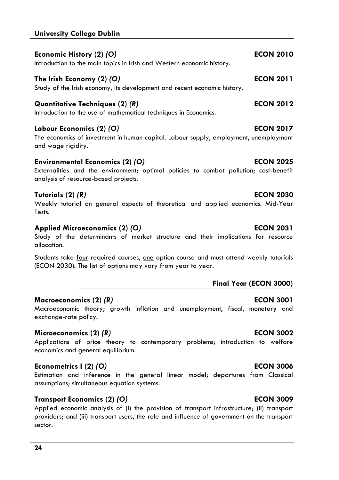## **University College Dublin**

| Economic History (2) <i>(</i> O)<br>Introduction to the main topics in Irish and Western economic history.  | <b>ECON 2010</b> |
|-------------------------------------------------------------------------------------------------------------|------------------|
|                                                                                                             | <b>ECON 2011</b> |
| The Irish Economy (2) (O)<br>Study of the Irish economy, its development and recent economic history.       |                  |
| Quantitative Techniques (2) <i>(</i> R)<br>Introduction to the use of mathematical techniques in Economics. | <b>ECON 2012</b> |

## **Labour Economics (2)** *(O)* **ECON 2017**

The economics of investment in human capital. Labour supply, employment, unemployment and wage rigidity.

## **Environmental Economics (2)** *(O)* **ECON 2025**

Externalities and the environment; optimal policies to combat pollution; cost-benefit analysis of resource-based projects.

## **Tutorials (2)** *(R)* **ECON 2030**

Weekly tutorial on general aspects of theoretical and applied economics. Mid-Year Tests.

## **Applied Microeconomics (2)** *(O)* **ECON 2031**

Study of the determinants of market structure and their implications for resource allocation.

Students take four required courses, one option course and must attend weekly tutorials (ECON 2030). The list of options may vary from year to year.

## **Final Year (ECON 3000)**

## **Macroeconomics (2)** *(R)* **ECON 3001**

Macroeconomic theory; growth inflation and unemployment, fiscal, monetary and exchange-rate policy.

## **Microeconomics (2)** *(R)* **ECON 3002**

Applications of price theory to contemporary problems; introduction to welfare economics and general equilibrium.

## **Econometrics I (2)** *(O)* **ECON 3006**

Estimation and inference in the general linear model; departures from Classical assumptions; simultaneous equation systems.

## **Transport Economics (2)** *(O)* **ECON 3009**

Applied economic analysis of (i) the provision of transport infrastructure; (ii) transport providers; and (iii) transport users, the role and influence of government on the transport sector.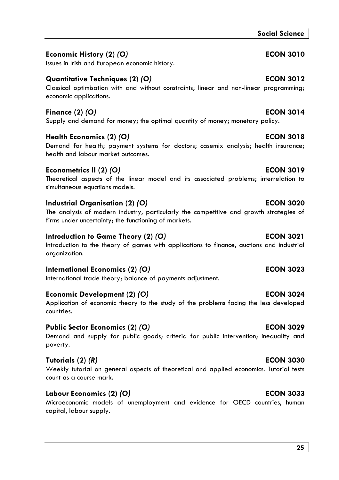## **Social Science**

## **Economic History (2)** *(O)* **ECON 3010**

## **Quantitative Techniques (2)** *(O)* **ECON 3012**

## Classical optimisation with and without constraints; linear and non-linear programming; economic applications.

## **Finance (2)** *(O)* **ECON 3014**

Supply and demand for money; the optimal quantity of money; monetary policy.

## **Health Economics (2)** *(O)* **ECON 3018**

Issues in Irish and European economic history.

Demand for health; payment systems for doctors; casemix analysis; health insurance; health and labour market outcomes.

## **Econometrics II (2)** *(O)* **ECON 3019**

Theoretical aspects of the linear model and its associated problems; interrelation to simultaneous equations models.

## **Industrial Organisation (2)** *(O)* **ECON 3020**

The analysis of modern industry, particularly the competitive and growth strategies of firms under uncertainty; the functioning of markets.

## **Introduction to Game Theory (2) (O) ECON 3021**

Introduction to the theory of games with applications to finance, auctions and industrial organization.

## **International Economics (2)** *(O)* **ECON 3023**

International trade theory; balance of payments adjustment.

## **Economic Development (2)** *(O)* **ECON 3024**

Application of economic theory to the study of the problems facing the less developed countries.

## **Public Sector Economics (2)** *(O)* **ECON 3029**

Demand and supply for public goods; criteria for public intervention; inequality and poverty.

## **Tutorials (2)** *(R)* **ECON 3030**

Weekly tutorial on general aspects of theoretical and applied economics. Tutorial tests count as a course mark.

## **Labour Economics (2)** *(O)* **ECON 3033**

Microeconomic models of unemployment and evidence for OECD countries, human capital, labour supply.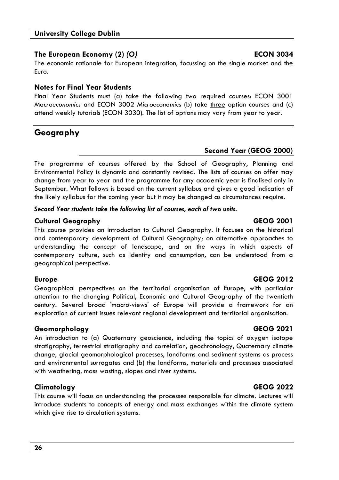## **The European Economy (2)** *(O)* **ECON 3034**

The economic rationale for European integration, focussing on the single market and the Euro.

## **Notes for Final Year Students**

Final Year Students must (a) take the following two required courses: ECON 3001 *Macroeconomics* and ECON 3002 *Microeconomics* (b) take three option courses and (c) attend weekly tutorials (ECON 3030). The list of options may vary from year to year.

## **Geography**

## **Second Year (GEOG 2000)**

The programme of courses offered by the School of Geography, Planning and Environmental Policy is dynamic and constantly revised. The lists of courses on offer may change from year to year and the programme for any academic year is finalised only in September. What follows is based on the current syllabus and gives a good indication of the likely syllabus for the coming year but it may be changed as circumstances require.

*Second Year students take the following list of courses, each of two units.* 

## **Cultural Geography GEOG 2001**

This course provides an introduction to Cultural Geography. It focuses on the historical and contemporary development of Cultural Geography; on alternative approaches to understanding the concept of landscape, and on the ways in which aspects of contemporary culture, such as identity and consumption, can be understood from a geographical perspective.

Geographical perspectives on the territorial organisation of Europe, with particular attention to the changing Political, Economic and Cultural Geography of the twentieth century. Several broad 'macro-views' of Europe will provide a framework for an exploration of current issues relevant regional development and territorial organisation.

## **Geomorphology GEOG 2021**

An introduction to (a) Quaternary geoscience, including the topics of oxygen isotope stratigraphy, terrestrial stratigraphy and correlation, geochronology, Quaternary climate change, glacial geomorphological processes, landforms and sediment systems as process and environmental surrogates and (b) the landforms, materials and processes associated with weathering, mass wasting, slopes and river systems.

## **Climatology GEOG 2022**

This course will focus on understanding the processes responsible for climate. Lectures will introduce students to concepts of energy and mass exchanges within the climate system which give rise to circulation systems.

## **Europe GEOG 2012**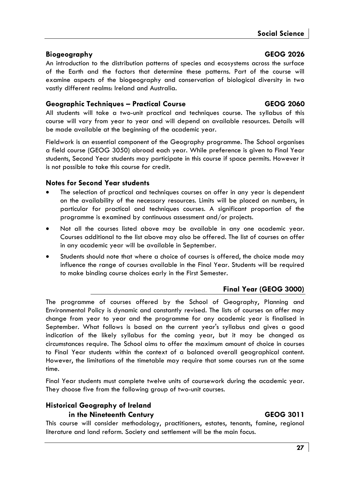## **Biogeography GEOG 2026**

An introduction to the distribution patterns of species and ecosystems across the surface of the Earth and the factors that determine these patterns. Part of the course will examine aspects of the biogeography and conservation of biological diversity in two vastly different realms: Ireland and Australia.

## **Geographic Techniques – Practical Course GEOG 2060**

All students will take a two-unit practical and techniques course. The syllabus of this course will vary from year to year and will depend on available resources. Details will be made available at the beginning of the academic year.

Fieldwork is an essential component of the Geography programme. The School organises a field course (GEOG 3050) abroad each year. While preference is given to Final Year students, Second Year students may participate in this course if space permits. However it is not possible to take this course for credit.

## **Notes for Second Year students**

- The selection of practical and techniques courses on offer in any year is dependent on the availability of the necessary resources. Limits will be placed on numbers, in particular for practical and techniques courses. A significant proportion of the programme is examined by continuous assessment and/or projects.
- Not all the courses listed above may be available in any one academic year. Courses additional to the list above may also be offered. The list of courses on offer in any academic year will be available in September.
- Students should note that where a choice of courses is offered, the choice made may influence the range of courses available in the Final Year. Students will be required to make binding course choices early in the First Semester.

## **Final Year (GEOG 3000)**

The programme of courses offered by the School of Geography, Planning and Environmental Policy is dynamic and constantly revised. The lists of courses on offer may change from year to year and the programme for any academic year is finalised in September. What follows is based on the current year's syllabus and gives a good indication of the likely syllabus for the coming year, but it may be changed as circumstances require. The School aims to offer the maximum amount of choice in courses to Final Year students within the context of a balanced overall geographical content. However, the limitations of the timetable may require that some courses run at the same time.

Final Year students must complete twelve units of coursework during the academic year. They choose five from the following group of two-unit courses.

## **Historical Geography of Ireland in the Nineteenth Century GEOG 3011**

This course will consider methodology, practitioners, estates, tenants, famine, regional literature and land reform. Society and settlement will be the main focus.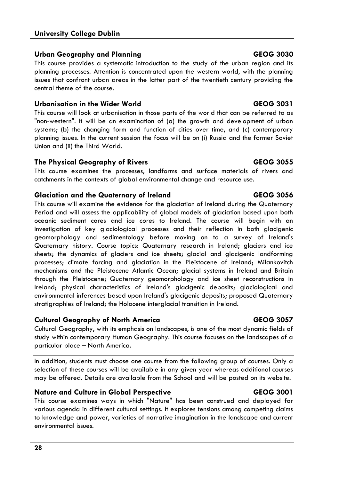## **Urban Geography and Planning GEOG 3030**

This course provides a systematic introduction to the study of the urban region and its planning processes. Attention is concentrated upon the western world, with the planning issues that confront urban areas in the latter part of the twentieth century providing the central theme of the course.

## **Urbanisation in the Wider World GEOG 3031**

This course will look at urbanisation in those parts of the world that can be referred to as "non-western". It will be an examination of (a) the growth and development of urban systems; (b) the changing form and function of cities over time, and (c) contemporary planning issues. In the current session the focus will be on (i) Russia and the former Soviet Union and (ii) the Third World.

## **The Physical Geography of Rivers GEOG 3055**

This course examines the processes, landforms and surface materials of rivers and catchments in the contexts of global environmental change and resource use.

## **Glaciation and the Quaternary of Ireland GEOG 3056**

This course will examine the evidence for the glaciation of Ireland during the Quaternary Period and will assess the applicability of global models of glaciation based upon both oceanic sediment cores and ice cores to Ireland. The course will begin with an investigation of key glaciological processes and their reflection in both glacigenic geomorphology and sedimentology before moving on to a survey of Ireland's Quaternary history. Course topics: Quaternary research in Ireland; glaciers and ice sheets; the dynamics of glaciers and ice sheets; glacial and glacigenic landforming processes; climate forcing and glaciation in the Pleistocene of Ireland; Milankovitch mechanisms and the Pleistocene Atlantic Ocean; glacial systems in Ireland and Britain through the Pleistocene; Quaternary geomorphology and ice sheet reconstructions in Ireland; physical characteristics of Ireland's glacigenic deposits; glaciological and environmental inferences based upon Ireland's glacigenic deposits; proposed Quaternary stratigraphies of Ireland; the Holocene interglacial transition in Ireland.

## **Cultural Geography of North America GEOG 3057**

Cultural Geography, with its emphasis on landscapes, is one of the most dynamic fields of study within contemporary Human Geography. This course focuses on the landscapes of a particular place – North America.

In addition, students must choose one course from the following group of courses. Only a selection of these courses will be available in any given year whereas additional courses may be offered. Details are available from the School and will be posted on its website.

## **Nature and Culture in Global Perspective CEOG 3001 CEOG 3001**

This course examines ways in which "Nature" has been construed and deployed for various agenda in different cultural settings. It explores tensions among competing claims to knowledge and power, varieties of narrative imagination in the landscape and current environmental issues.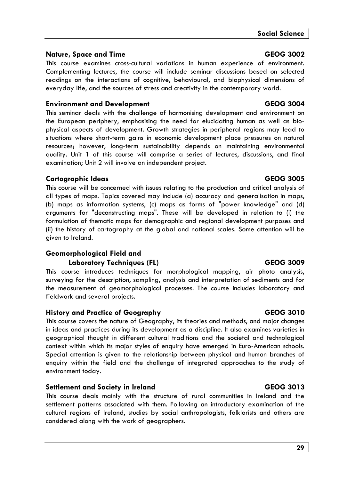## **Nature, Space and Time GEOG 3002**

This course examines cross-cultural variations in human experience of environment. Complementing lectures, the course will include seminar discussions based on selected readings on the interactions of cognitive, behavioural, and biophysical dimensions of everyday life, and the sources of stress and creativity in the contemporary world.

## **Environment and Development GEOG 3004**

This seminar deals with the challenge of harmonising development and environment on the European periphery, emphasising the need for elucidating human as well as biophysical aspects of development. Growth strategies in peripheral regions may lead to situations where short-term gains in economic development place pressures on natural resources; however, long-term sustainability depends on maintaining environmental quality. Unit 1 of this course will comprise a series of lectures, discussions, and final examination; Unit 2 will involve an independent project.

## **Cartographic Ideas GEOG 3005**

This course will be concerned with issues relating to the production and critical analysis of all types of maps. Topics covered may include (a) accuracy and generalisation in maps, (b) maps as information systems, (c) maps as forms of "power knowledge" and (d) arguments for "deconstructing maps". These will be developed in relation to (i) the formulation of thematic maps for demographic and regional development purposes and (ii) the history of cartography at the global and national scales. Some attention will be given to Ireland.

## **Geomorphological Field and**

## Laboratory Techniques (FL) GEOG 3009

This course introduces techniques for morphological mapping, air photo analysis, surveying for the description, sampling, analysis and interpretation of sediments and for the measurement of geomorphological processes. The course includes laboratory and fieldwork and several projects.

## **History and Practice of Geography GEOG 3010**

This course covers the nature of Geography, its theories and methods, and major changes in ideas and practices during its development as a discipline. It also examines varieties in geographical thought in different cultural traditions and the societal and technological context within which its major styles of enquiry have emerged in Euro-American schools. Special attention is given to the relationship between physical and human branches of enquiry within the field and the challenge of integrated approaches to the study of environment today.

## **Settlement and Society in Ireland GEOG 3013**

This course deals mainly with the structure of rural communities in Ireland and the settlement patterns associated with them. Following an introductory examination of the cultural regions of Ireland, studies by social anthropologists, folklorists and others are considered along with the work of geographers.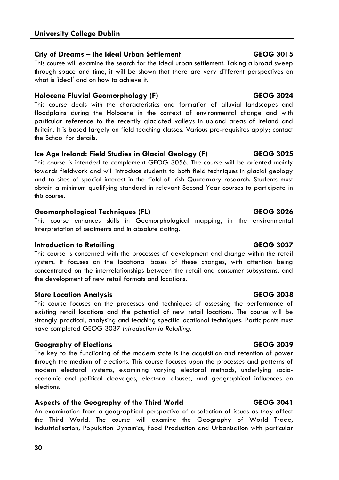## **City of Dreams – the Ideal Urban Settlement GEOG 3015**

This course will examine the search for the ideal urban settlement. Taking a broad sweep through space and time, it will be shown that there are very different perspectives on what is 'ideal' and on how to achieve it.

## **Holocene Fluvial Geomorphology (F)** CEOG 3024

This course deals with the characteristics and formation of alluvial landscapes and floodplains during the Holocene in the context of environmental change and with particular reference to the recently glaciated valleys in upland areas of Ireland and Britain. It is based largely on field teaching classes. Various pre-requisites apply; contact the School for details.

## **Ice Age Ireland: Field Studies in Glacial Geology (F) GEOG 3025**

This course is intended to complement GEOG 3056. The course will be oriented mainly towards fieldwork and will introduce students to both field techniques in glacial geology and to sites of special interest in the field of Irish Quaternary research. Students must obtain a minimum qualifying standard in relevant Second Year courses to participate in this course.

## **Geomorphological Techniques (FL) GEOG 3026**

This course enhances skills in Geomorphological mapping, in the environmental interpretation of sediments and in absolute dating.

## **Introduction to Retailing GEOG 3037**

This course is concerned with the processes of development and change within the retail system. It focuses on the locational bases of these changes, with attention being concentrated on the interrelationships between the retail and consumer subsystems, and the development of new retail formats and locations.

## **Store Location Analysis GEOG 3038**

This course focuses on the processes and techniques of assessing the performance of existing retail locations and the potential of new retail locations. The course will be strongly practical, analysing and teaching specific locational techniques. Participants must have completed GEOG 3037 *Introduction to Retailing*.

## **Geography of Elections GEOG 3039**

The key to the functioning of the modern state is the acquisition and retention of power through the medium of elections. This course focuses upon the processes and patterns of modern electoral systems, examining varying electoral methods, underlying socioeconomic and political cleavages, electoral abuses, and geographical influences on elections.

## **Aspects of the Geography of the Third World GEOG 3041**

An examination from a geographical perspective of a selection of issues as they affect the Third World. The course will examine the Geography of World Trade, Industrialisation, Population Dynamics, Food Production and Urbanisation with particular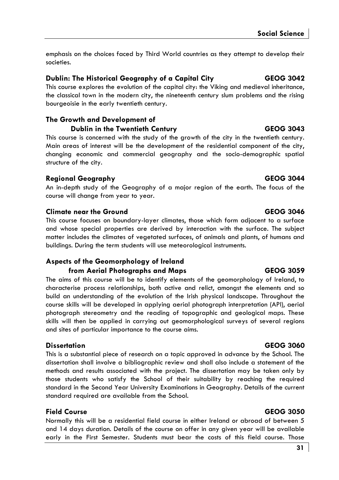emphasis on the choices faced by Third World countries as they attempt to develop their societies.

## **Dublin: The Historical Geography of a Capital City GEOG 3042**

This course explores the evolution of the capital city: the Viking and medieval inheritance, the classical town in the modern city, the nineteenth century slum problems and the rising bourgeoisie in the early twentieth century.

## **The Growth and Development of**

**Dublin in the Twentieth Century GEOG 3043** 

This course is concerned with the study of the growth of the city in the twentieth century. Main areas of interest will be the development of the residential component of the city, changing economic and commercial geography and the socio-demographic spatial structure of the city.

## **Regional Geography GEOG 3044**

An in-depth study of the Geography of a major region of the earth. The focus of the course will change from year to year.

## **Climate near the Ground GEOG 3046**

This course focuses on boundary-layer climates, those which form adjacent to a surface and whose special properties are derived by interaction with the surface. The subject matter includes the climates of vegetated surfaces, of animals and plants, of humans and buildings. During the term students will use meteorological instruments.

## **Aspects of the Geomorphology of Ireland from Aerial Photographs and Maps GEOG 3059**

The aims of this course will be to identify elements of the geomorphology of Ireland, to characterise process relationships, both active and relict, amongst the elements and so build an understanding of the evolution of the Irish physical landscape. Throughout the course skills will be developed in applying aerial photograph interpretation (API), aerial photograph stereometry and the reading of topographic and geological maps. These skills will then be applied in carrying out geomorphological surveys of several regions and sites of particular importance to the course aims.

## **Dissertation GEOG 3060**

This is a substantial piece of research on a topic approved in advance by the School. The dissertation shall involve a bibliographic review and shall also include a statement of the methods and results associated with the project. The dissertation may be taken only by those students who satisfy the School of their suitability by reaching the required standard in the Second Year University Examinations in Geography. Details of the current standard required are available from the School.

## **Field Course GEOG 3050**

Normally this will be a residential field course in either Ireland or abroad of between 5 and 14 days duration. Details of the course on offer in any given year will be available early in the First Semester. Students must bear the costs of this field course. Those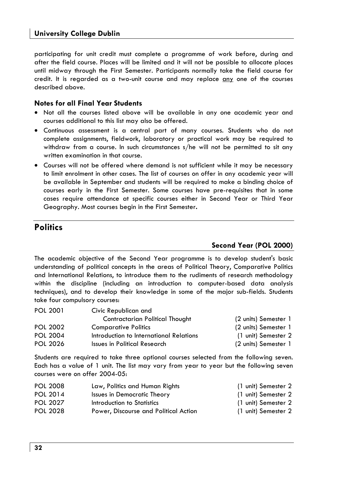participating for unit credit must complete a programme of work before, during and after the field course. Places will be limited and it will not be possible to allocate places until midway through the First Semester. Participants normally take the field course for credit. It is regarded as a two-unit course and may replace any one of the courses described above.

### **Notes for all Final Year Students**

- Not all the courses listed above will be available in any one academic year and courses additional to this list may also be offered.
- Continuous assessment is a central part of many courses. Students who do not complete assignments, fieldwork, laboratory or practical work may be required to withdraw from a course. In such circumstances s/he will not be permitted to sit any written examination in that course.
- Courses will not be offered where demand is not sufficient while it may be necessary to limit enrolment in other cases. The list of courses on offer in any academic year will be available in September and students will be required to make a binding choice of courses early in the First Semester. Some courses have pre-requisites that in some cases require attendance at specific courses either in Second Year or Third Year Geography. Most courses begin in the First Semester**.**

## **Politics**

## **Second Year (POL 2000)**

The academic objective of the Second Year programme is to develop student's basic understanding of political concepts in the areas of Political Theory, Comparative Politics and International Relations, to introduce them to the rudiments of research methodology within the discipline (including an introduction to computer-based data analysis techniques), and to develop their knowledge in some of the major sub-fields. Students take four compulsory courses:

| <b>POL 2001</b> | Civic Republican and                    |                      |
|-----------------|-----------------------------------------|----------------------|
|                 | Contractarian Political Thought         | (2 units) Semester 1 |
| <b>POL 2002</b> | <b>Comparative Politics</b>             | (2 units) Semester 1 |
| <b>POL 2004</b> | Introduction to International Relations | (1 unit) Semester 2  |
| <b>POL 2026</b> | Issues in Political Research            | (2 units) Semester 1 |

Students are required to take three optional courses selected from the following seven. Each has a value of 1 unit. The list may vary from year to year but the following seven courses were on offer 2004-05:

| <b>POL 2008</b> | Law, Politics and Human Rights        | (1 unit) Semester 2 |
|-----------------|---------------------------------------|---------------------|
| POL 2014        | Issues in Democratic Theory           | (1 unit) Semester 2 |
| <b>POL 2027</b> | Introduction to Statistics            | (1 unit) Semester 2 |
| <b>POL 2028</b> | Power, Discourse and Political Action | (1 unit) Semester 2 |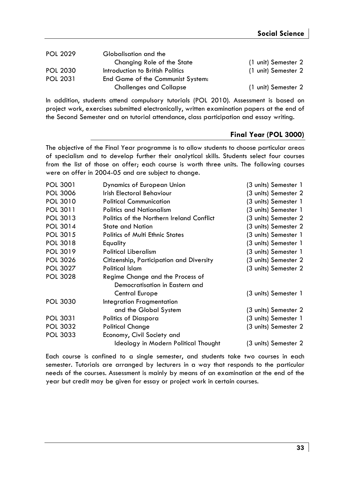| <b>POL 2029</b> | Globalisation and the             |                     |
|-----------------|-----------------------------------|---------------------|
|                 | Changing Role of the State        | (1 unit) Semester 2 |
| <b>POL 2030</b> | Introduction to British Politics  | (1 unit) Semester 2 |
| <b>POL 2031</b> | End Game of the Communist System: |                     |
|                 | <b>Challenges and Collapse</b>    | (1 unit) Semester 2 |

In addition, students attend compulsory tutorials (POL 2010). Assessment is based on project work, exercises submitted electronically, written examination papers at the end of the Second Semester and on tutorial attendance, class participation and essay writing.

## **Final Year (POL 3000)**

The objective of the Final Year programme is to allow students to choose particular areas of specialism and to develop further their analytical skills. Students select four courses from the list of those on offer; each course is worth three units. The following courses were on offer in 2004-05 and are subject to change.

| POL 3001        | Dynamics of European Union                | (3 units) Semester 1 |
|-----------------|-------------------------------------------|----------------------|
| <b>POL 3006</b> | Irish Electoral Behaviour                 | (3 units) Semester 2 |
| <b>POL 3010</b> | <b>Political Communication</b>            | (3 units) Semester 1 |
| POL 3011        | <b>Politics and Nationalism</b>           | (3 units) Semester 1 |
| POL 3013        | Politics of the Northern Ireland Conflict | (3 units) Semester 2 |
| POL 3014        | <b>State and Nation</b>                   | (3 units) Semester 2 |
| POL 3015        | <b>Politics of Multi Ethnic States</b>    | (3 units) Semester 1 |
| <b>POL 3018</b> | Equality                                  | (3 units) Semester 1 |
| <b>POL 3019</b> | <b>Political Liberalism</b>               | (3 units) Semester 1 |
| <b>POL 3026</b> | Citizenship, Participation and Diversity  | (3 units) Semester 2 |
| <b>POL 3027</b> | Political Islam                           | (3 units) Semester 2 |
| <b>POL 3028</b> | Regime Change and the Process of          |                      |
|                 | Democratisation in Eastern and            |                      |
|                 | Central Europe                            | (3 units) Semester 1 |
| <b>POL 3030</b> | Integration Fragmentation                 |                      |
|                 | and the Global System                     | (3 units) Semester 2 |
| POL 3031        | Politics of Diaspora                      | (3 units) Semester 1 |
| <b>POL 3032</b> | <b>Political Change</b>                   | (3 units) Semester 2 |
| <b>POL 3033</b> | Economy, Civil Society and                |                      |
|                 | Ideology in Modern Political Thought      | (3 units) Semester 2 |
|                 |                                           |                      |

Each course is confined to a single semester, and students take two courses in each semester. Tutorials are arranged by lecturers in a way that responds to the particular needs of the courses. Assessment is mainly by means of an examination at the end of the year but credit may be given for essay or project work in certain courses.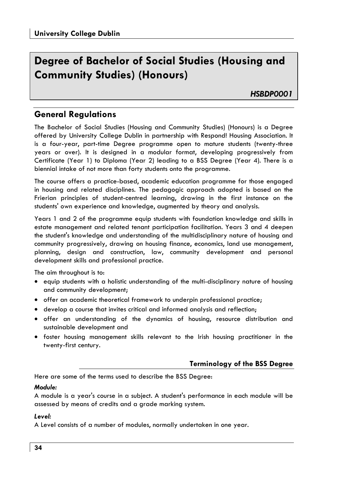## **Degree of Bachelor of Social Studies (Housing and Community Studies) (Honours)**

*HSBDP0001* 

## **General Regulations**

The Bachelor of Social Studies (Housing and Community Studies) (Honours) is a Degree offered by University College Dublin in partnership with Respond! Housing Association. It is a four-year, part-time Degree programme open to mature students (twenty-three years or over). It is designed in a modular format, developing progressively from Certificate (Year 1) to Diploma (Year 2) leading to a BSS Degree (Year 4). There is a biennial intake of not more than forty students onto the programme.

The course offers a practice-based, academic education programme for those engaged in housing and related disciplines. The pedagogic approach adopted is based on the Frierian principles of student-centred learning, drawing in the first instance on the students' own experience and knowledge, augmented by theory and analysis.

Years 1 and 2 of the programme equip students with foundation knowledge and skills in estate management and related tenant participation facilitation. Years 3 and 4 deepen the student's knowledge and understanding of the multidisciplinary nature of housing and community progressively, drawing on housing finance, economics, land use management, planning, design and construction, law, community development and personal development skills and professional practice.

The aim throughout is to:

- equip students with a holistic understanding of the multi-disciplinary nature of housing and community development;
- offer an academic theoretical framework to underpin professional practice;
- develop a course that invites critical and informed analysis and reflection;
- offer an understanding of the dynamics of housing, resource distribution and sustainable development and
- foster housing management skills relevant to the Irish housing practitioner in the twenty-first century.

## **Terminology of the BSS Degree**

Here are some of the terms used to describe the BSS Degree:

## *Module:*

A module is a year's course in a subject. A student's performance in each module will be assessed by means of credits and a grade marking system.

### *Level:*

A Level consists of a number of modules, normally undertaken in one year.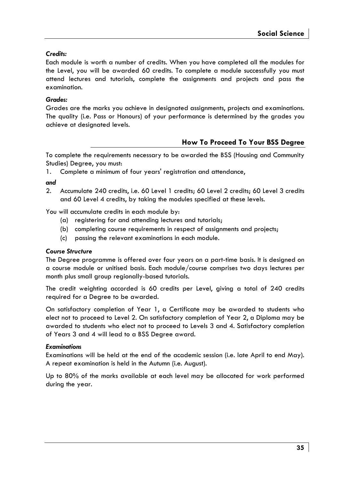## *Credits:*

Each module is worth a number of credits. When you have completed all the modules for the Level, you will be awarded 60 credits. To complete a module successfully you must attend lectures and tutorials, complete the assignments and projects and pass the examination.

## *Grades:*

Grades are the marks you achieve in designated assignments, projects and examinations. The quality (i.e. Pass or Honours) of your performance is determined by the grades you achieve at designated levels.

## **How To Proceed To Your BSS Degree**

To complete the requirements necessary to be awarded the BSS (Housing and Community Studies) Degree, you must:

1. Complete a minimum of four years' registration and attendance,

### *and*

2. Accumulate 240 credits, i.e. 60 Level 1 credits; 60 Level 2 credits; 60 Level 3 credits and 60 Level 4 credits, by taking the modules specified at these levels.

You will accumulate credits in each module by:

- (a) registering for and attending lectures and tutorials;
- (b) completing course requirements in respect of assignments and projects;
- (c) passing the relevant examinations in each module.

### *Course Structure*

The Degree programme is offered over four years on a part-time basis. It is designed on a course module or unitised basis. Each module/course comprises two days lectures per month plus small group regionally-based tutorials.

The credit weighting accorded is 60 credits per Level, giving a total of 240 credits required for a Degree to be awarded.

On satisfactory completion of Year 1, a Certificate may be awarded to students who elect not to proceed to Level 2. On satisfactory completion of Year 2, a Diploma may be awarded to students who elect not to proceed to Levels 3 and 4. Satisfactory completion of Years 3 and 4 will lead to a BSS Degree award.

### *Examinations*

Examinations will be held at the end of the academic session (i.e. late April to end May). A repeat examination is held in the Autumn (i.e. August).

Up to 80% of the marks available at each level may be allocated for work performed during the year.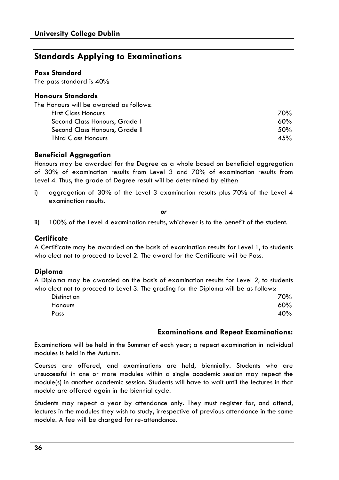## **Standards Applying to Examinations**

### **Pass Standard**

The pass standard is 40%

### **Honours Standards**

| The Honours will be awarded as follows: |         |
|-----------------------------------------|---------|
| <b>First Class Honours</b>              | 70%     |
| Second Class Honours, Grade I           | 60%     |
| Second Class Honours, Grade II          | $.50\%$ |
| <b>Third Class Honours</b>              | 4.5%    |

## **Beneficial Aggregation**

Honours may be awarded for the Degree as a whole based on beneficial aggregation of 30% of examination results from Level 3 and 70% of examination results from Level 4. Thus, the grade of Degree result will be determined by either:

i) aggregation of 30% of the Level 3 examination results plus 70% of the Level 4 examination results.

*or* 

ii) 100% of the Level 4 examination results, whichever is to the benefit of the student.

## **Certificate**

A Certificate may be awarded on the basis of examination results for Level 1, to students who elect not to proceed to Level 2. The award for the Certificate will be Pass.

### **Diploma**

A Diploma may be awarded on the basis of examination results for Level 2, to students who elect not to proceed to Level 3. The grading for the Diploma will be as follows:

| <b>Distinction</b> | 70% |
|--------------------|-----|
| Honours            | 60% |
| Pass               | 40% |

### **Examinations and Repeat Examinations:**

Examinations will be held in the Summer of each year; a repeat examination in individual modules is held in the Autumn.

Courses are offered, and examinations are held, biennially. Students who are unsuccessful in one or more modules within a single academic session may repeat the module(s) in another academic session. Students will have to wait until the lectures in that module are offered again in the biennial cycle.

Students may repeat a year by attendance only. They must register for, and attend, lectures in the modules they wish to study, irrespective of previous attendance in the same module. A fee will be charged for re-attendance.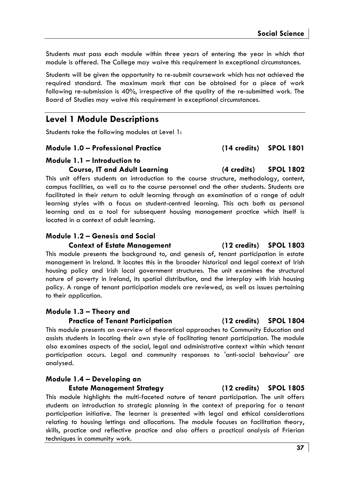Students must pass each module within three years of entering the year in which that module is offered. The College may waive this requirement in exceptional circumstances.

Students will be given the opportunity to re-submit coursework which has not achieved the required standard. The maximum mark that can be obtained for a piece of work following re-submission is 40%, irrespective of the quality of the re-submitted work. The Board of Studies may waive this requirement in exceptional circumstances.

## **Level 1 Module Descriptions**

Students take the following modules at Level 1:

### **Module 1.0 – Professional Practice (14 credits) SPOL 1801**

### **Module 1.1 – Introduction to Course, IT and Adult Learning (4 credits) SPOL 1802**

This unit offers students an introduction to the course structure, methodology, content, campus facilities, as well as to the course personnel and the other students. Students are facilitated in their return to adult learning through an examination of a range of adult learning styles with a focus on student-centred learning. This acts both as personal learning and as a tool for subsequent housing management practice which itself is located in a context of adult learning.

## **Module 1.2 – Genesis and Social**

### **Context of Estate Management (12 credits) SPOL 1803**

This module presents the background to, and genesis of, tenant participation in estate management in Ireland. It locates this in the broader historical and legal context of Irish housing policy and Irish local government structures. The unit examines the structural nature of poverty in Ireland, its spatial distribution, and the interplay with Irish housing policy. A range of tenant participation models are reviewed, as well as issues pertaining to their application.

## **Module 1.3 – Theory and**

### **Practice of Tenant Participation (12 credits) SPOL 1804**

This module presents an overview of theoretical approaches to Community Education and assists students in locating their own style of facilitating tenant participation. The module also examines aspects of the social, legal and administrative context within which tenant participation occurs. Legal and community responses to 'anti-social behaviour' are analysed.

### **Module 1.4 – Developing an**

**Estate Management Strategy (12 credits) SPOL 1805** 

This module highlights the multi-faceted nature of tenant participation. The unit offers students an introduction to strategic planning in the context of preparing for a tenant participation initiative. The learner is presented with legal and ethical considerations relating to housing lettings and allocations. The module focuses on facilitation theory, skills, practice and reflective practice and also offers a practical analysis of Frierian techniques in community work.

### **37**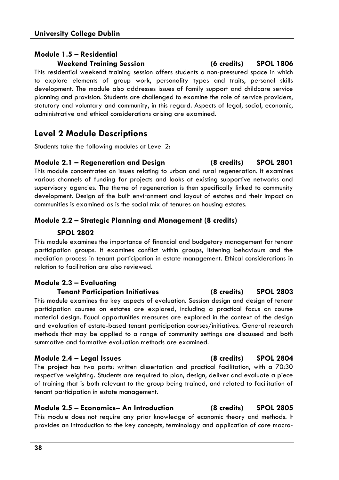## **Module 1.5 – Residential Weekend Training Session (6 credits) SPOL 1806**

This residential weekend training session offers students a non-pressured space in which to explore elements of group work, personality types and traits, personal skills development. The module also addresses issues of family support and childcare service planning and provision. Students are challenged to examine the role of service providers, statutory and voluntary and community, in this regard. Aspects of legal, social, economic, administrative and ethical considerations arising are examined.

## **Level 2 Module Descriptions**

Students take the following modules at Level 2:

## **Module 2.1 – Regeneration and Design (8 credits) SPOL 2801**

This module concentrates on issues relating to urban and rural regeneration. It examines various channels of funding for projects and looks at existing supportive networks and supervisory agencies. The theme of regeneration is then specifically linked to community development. Design of the built environment and layout of estates and their impact on communities is examined as is the social mix of tenures on housing estates.

## **Module 2.2 – Strategic Planning and Management (8 credits)**

## **SPOL 2802**

This module examines the importance of financial and budgetary management for tenant participation groups. It examines conflict within groups, listening behaviours and the mediation process in tenant participation in estate management. Ethical considerations in relation to facilitation are also reviewed.

## **Module 2.3 – Evaluating**

## **Tenant Participation Initiatives (8 credits) SPOL 2803**

This module examines the key aspects of evaluation. Session design and design of tenant participation courses on estates are explored, including a practical focus on course material design. Equal opportunities measures are explored in the context of the design and evaluation of estate-based tenant participation courses/initiatives. General research methods that may be applied to a range of community settings are discussed and both summative and formative evaluation methods are examined.

## **Module 2.4 – Legal Issues (8 credits) SPOL 2804**

The project has two parts: written dissertation and practical facilitation, with a 70:30 respective weighting. Students are required to plan, design, deliver and evaluate a piece of training that is both relevant to the group being trained, and related to facilitation of tenant participation in estate management.

### **Module 2.5 – Economics– An Introduction (8 credits) SPOL 2805**  This module does not require any prior knowledge of economic theory and methods. It

provides an introduction to the key concepts, terminology and application of core macro-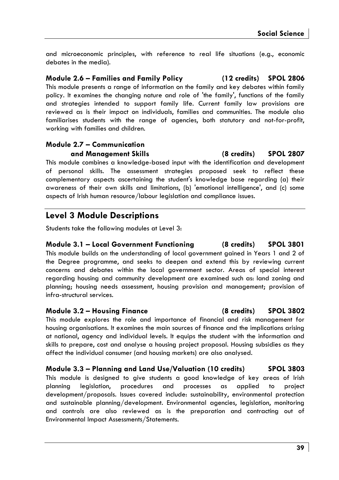and microeconomic principles, with reference to real life situations (e.g., economic debates in the media).

**Module 2.6 – Families and Family Policy (12 credits) SPOL 2806**  This module presents a range of information on the family and key debates within family policy. It examines the changing nature and role of 'the family', functions of the family and strategies intended to support family life. Current family law provisions are reviewed as is their impact on individuals, families and communities. The module also familiarises students with the range of agencies, both statutory and not-for-profit, working with families and children.

## **Module 2.7 – Communication and Management Skills (8 credits) SPOL 2807**

This module combines a knowledge-based input with the identification and development of personal skills. The assessment strategies proposed seek to reflect these complementary aspects ascertaining the student's knowledge base regarding (a) their awareness of their own skills and limitations, (b) 'emotional intelligence', and (c) some aspects of Irish human resource/labour legislation and compliance issues.

## **Level 3 Module Descriptions**

Students take the following modules at Level 3:

## **Module 3.1 – Local Government Functioning (8 credits) SPOL 3801**

This module builds on the understanding of local government gained in Years 1 and 2 of the Degree programme, and seeks to deepen and extend this by reviewing current concerns and debates within the local government sector. Areas of special interest regarding housing and community development are examined such as: land zoning and planning; housing needs assessment, housing provision and management; provision of infra-structural services.

## **Module 3.2 – Housing Finance (8 credits) SPOL 3802**

This module explores the role and importance of financial and risk management for housing organisations. It examines the main sources of finance and the implications arising at national, agency and individual levels. It equips the student with the information and skills to prepare, cost and analyse a housing project proposal. Housing subsidies as they affect the individual consumer (and housing markets) are also analysed.

## **Module 3.3 – Planning and Land Use/Valuation (10 credits) SPOL 3803**

This module is designed to give students a good knowledge of key areas of Irish planning legislation, procedures and processes as applied to project development/proposals. Issues covered include: sustainability, environmental protection and sustainable planning/development. Environmental agencies, legislation, monitoring and controls are also reviewed as is the preparation and contracting out of Environmental Impact Assessments/Statements.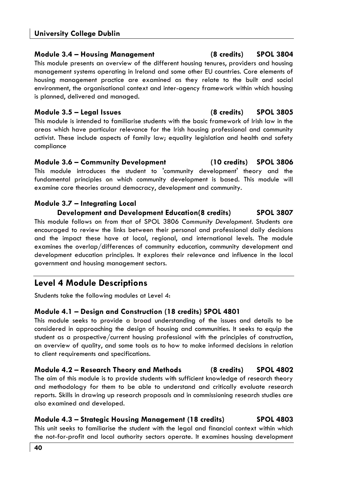## **Module 3.4 – Housing Management (8 credits) SPOL 3804**

This module presents an overview of the different housing tenures, providers and housing management systems operating in Ireland and some other EU countries. Core elements of housing management practice are examined as they relate to the built and social environment, the organisational context and inter-agency framework within which housing is planned, delivered and managed.

## **Module 3.5 – Legal Issues (8 credits) SPOL 3805**

This module is intended to familiarise students with the basic framework of Irish law in the areas which have particular relevance for the Irish housing professional and community activist. These include aspects of family law; equality legislation and health and safety compliance

**Module 3.6 – Community Development (10 credits) SPOL 3806**  This module introduces the student to 'community development' theory and the fundamental principles on which community development is based. This module will examine core theories around democracy, development and community.

## **Module 3.7 – Integrating Local**

**Development and Development Education(8 credits) SPOL 3807** 

This module follows on from that of SPOL 3806 *Community Development*. Students are encouraged to review the links between their personal and professional daily decisions and the impact these have at local, regional, and international levels. The module examines the overlap/differences of community education, community development and development education principles. It explores their relevance and influence in the local government and housing management sectors.

## **Level 4 Module Descriptions**

Students take the following modules at Level 4:

## **Module 4.1 – Design and Construction (18 credits) SPOL 4801**

This module seeks to provide a broad understanding of the issues and details to be considered in approaching the design of housing and communities. It seeks to equip the student as a prospective/current housing professional with the principles of construction, an overview of quality, and some tools as to how to make informed decisions in relation to client requirements and specifications.

**Module 4.2 – Research Theory and Methods (8 credits) SPOL 4802**  The aim of this module is to provide students with sufficient knowledge of research theory and methodology for them to be able to understand and critically evaluate research reports. Skills in drawing up research proposals and in commissioning research studies are also examined and developed.

## **Module 4.3 – Strategic Housing Management (18 credits) SPOL 4803**

This unit seeks to familiarise the student with the legal and financial context within which the not-for-profit and local authority sectors operate. It examines housing development

$$
\cdots
$$